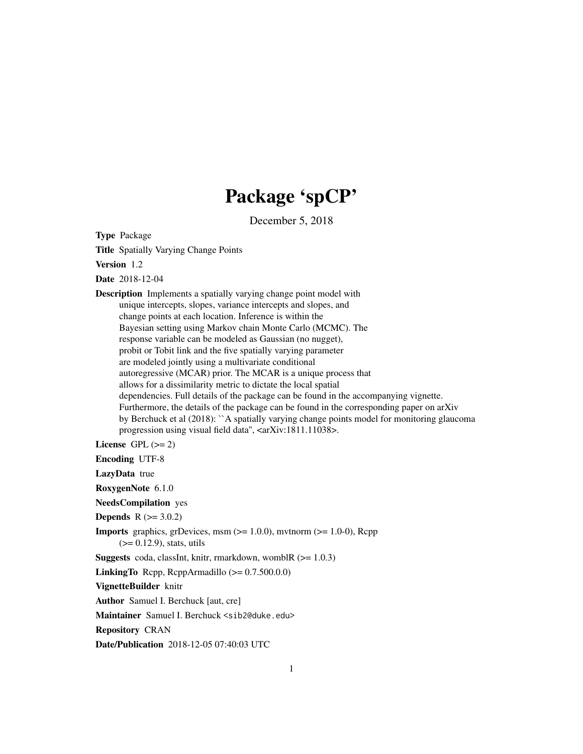# Package 'spCP'

December 5, 2018

Type Package

Title Spatially Varying Change Points

Version 1.2

Date 2018-12-04

Description Implements a spatially varying change point model with unique intercepts, slopes, variance intercepts and slopes, and change points at each location. Inference is within the Bayesian setting using Markov chain Monte Carlo (MCMC). The response variable can be modeled as Gaussian (no nugget), probit or Tobit link and the five spatially varying parameter are modeled jointly using a multivariate conditional autoregressive (MCAR) prior. The MCAR is a unique process that allows for a dissimilarity metric to dictate the local spatial dependencies. Full details of the package can be found in the accompanying vignette. Furthermore, the details of the package can be found in the corresponding paper on arXiv by Berchuck et al (2018): ``A spatially varying change points model for monitoring glaucoma progression using visual field data'', <arXiv:1811.11038>.

License GPL  $(>= 2)$ 

Encoding UTF-8

LazyData true

RoxygenNote 6.1.0

NeedsCompilation yes

**Depends**  $R$  ( $>= 3.0.2$ )

**Imports** graphics, grDevices, msm  $(>= 1.0.0)$ , mvtnorm  $(>= 1.0-0)$ , Rcpp (>= 0.12.9), stats, utils

**Suggests** coda, classInt, knitr, rmarkdown, wombl $R$  ( $> = 1.0.3$ )

LinkingTo Rcpp, RcppArmadillo  $(>= 0.7.500.0.0)$ 

VignetteBuilder knitr

Author Samuel I. Berchuck [aut, cre]

Maintainer Samuel I. Berchuck <sib2@duke.edu>

Repository CRAN

Date/Publication 2018-12-05 07:40:03 UTC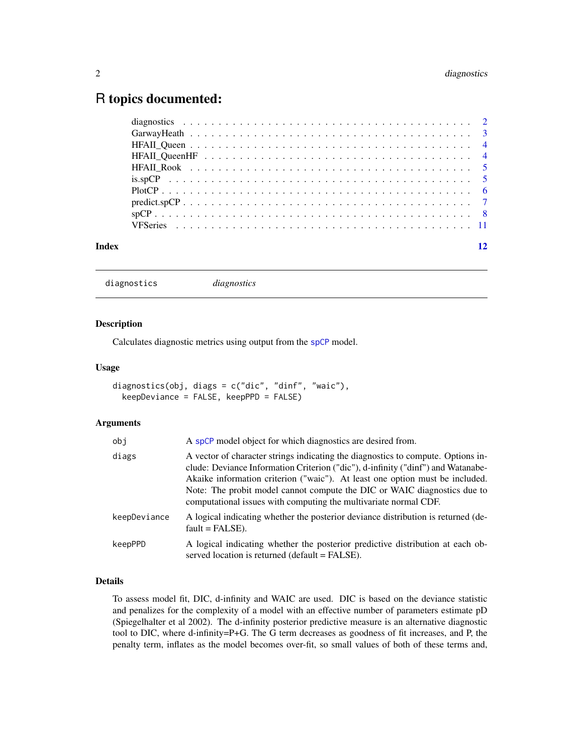# <span id="page-1-0"></span>R topics documented:

| Index |  |
|-------|--|

```
diagnostics diagnostics
```
# Description

Calculates diagnostic metrics using output from the [spCP](#page-7-1) model.

# Usage

```
diagnostics(obj, diags = c("dic", "dinf", "waic"),
 keepDeviance = FALSE, keepPPD = FALSE)
```
# Arguments

| obj          | A spCP model object for which diagnostics are desired from.                                                                                                                                                                                                                                                                                                                                          |
|--------------|------------------------------------------------------------------------------------------------------------------------------------------------------------------------------------------------------------------------------------------------------------------------------------------------------------------------------------------------------------------------------------------------------|
| diags        | A vector of character strings indicating the diagnostics to compute. Options in-<br>clude: Deviance Information Criterion ("dic"), d-infinity ("dinf") and Watanabe-<br>Akaike information criterion ("waic"). At least one option must be included.<br>Note: The probit model cannot compute the DIC or WAIC diagnostics due to<br>computational issues with computing the multivariate normal CDF. |
| keepDeviance | A logical indicating whether the posterior deviance distribution is returned (de-<br>$fault = FALSE$ ).                                                                                                                                                                                                                                                                                              |
| keepPPD      | A logical indicating whether the posterior predictive distribution at each ob-<br>served location is returned (default = FALSE).                                                                                                                                                                                                                                                                     |

# Details

To assess model fit, DIC, d-infinity and WAIC are used. DIC is based on the deviance statistic and penalizes for the complexity of a model with an effective number of parameters estimate pD (Spiegelhalter et al 2002). The d-infinity posterior predictive measure is an alternative diagnostic tool to DIC, where d-infinity=P+G. The G term decreases as goodness of fit increases, and P, the penalty term, inflates as the model becomes over-fit, so small values of both of these terms and,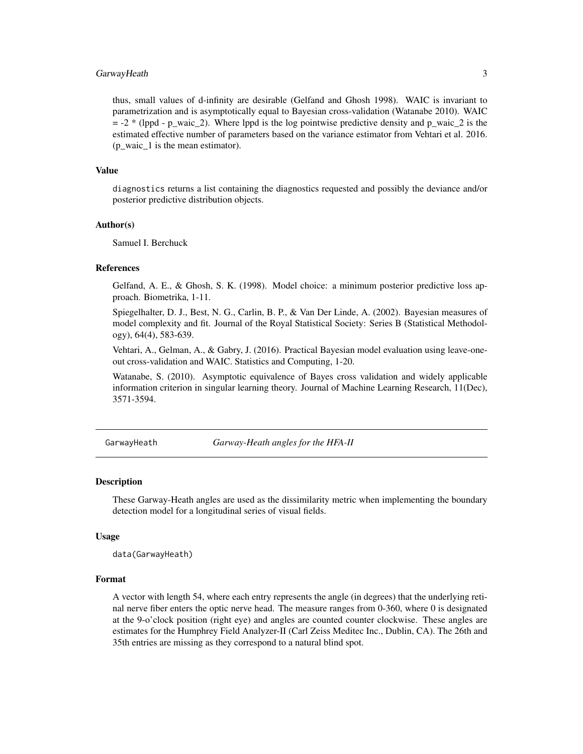## <span id="page-2-0"></span>GarwayHeath 3

thus, small values of d-infinity are desirable (Gelfand and Ghosh 1998). WAIC is invariant to parametrization and is asymptotically equal to Bayesian cross-validation (Watanabe 2010). WAIC  $= -2$  \* (lppd - p\_waic\_2). Where lppd is the log pointwise predictive density and p\_waic\_2 is the estimated effective number of parameters based on the variance estimator from Vehtari et al. 2016. (p\_waic\_1 is the mean estimator).

#### Value

diagnostics returns a list containing the diagnostics requested and possibly the deviance and/or posterior predictive distribution objects.

#### Author(s)

Samuel I. Berchuck

#### References

Gelfand, A. E., & Ghosh, S. K. (1998). Model choice: a minimum posterior predictive loss approach. Biometrika, 1-11.

Spiegelhalter, D. J., Best, N. G., Carlin, B. P., & Van Der Linde, A. (2002). Bayesian measures of model complexity and fit. Journal of the Royal Statistical Society: Series B (Statistical Methodology), 64(4), 583-639.

Vehtari, A., Gelman, A., & Gabry, J. (2016). Practical Bayesian model evaluation using leave-oneout cross-validation and WAIC. Statistics and Computing, 1-20.

Watanabe, S. (2010). Asymptotic equivalence of Bayes cross validation and widely applicable information criterion in singular learning theory. Journal of Machine Learning Research, 11(Dec), 3571-3594.

GarwayHeath *Garway-Heath angles for the HFA-II*

#### Description

These Garway-Heath angles are used as the dissimilarity metric when implementing the boundary detection model for a longitudinal series of visual fields.

#### Usage

data(GarwayHeath)

#### Format

A vector with length 54, where each entry represents the angle (in degrees) that the underlying retinal nerve fiber enters the optic nerve head. The measure ranges from 0-360, where 0 is designated at the 9-o'clock position (right eye) and angles are counted counter clockwise. These angles are estimates for the Humphrey Field Analyzer-II (Carl Zeiss Meditec Inc., Dublin, CA). The 26th and 35th entries are missing as they correspond to a natural blind spot.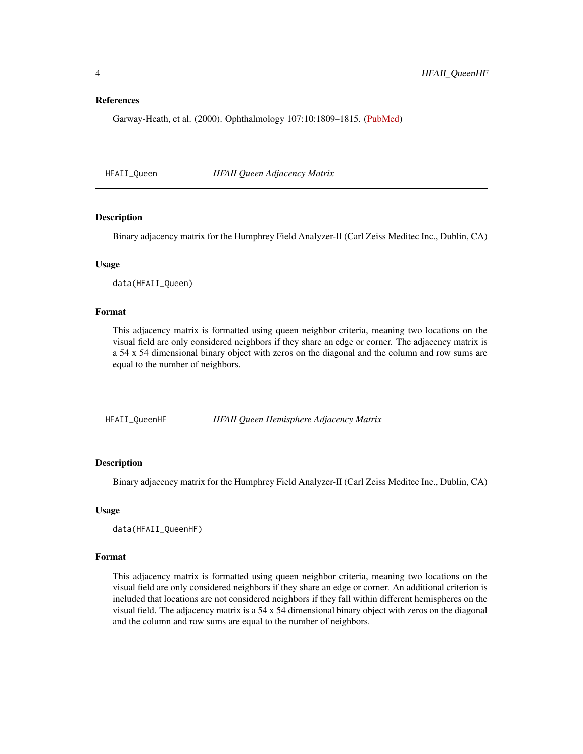### <span id="page-3-0"></span>References

Garway-Heath, et al. (2000). Ophthalmology 107:10:1809–1815. [\(PubMed\)](https://www.ncbi.nlm.nih.gov/pubmed/11013178)

HFAII\_Queen *HFAII Queen Adjacency Matrix*

## Description

Binary adjacency matrix for the Humphrey Field Analyzer-II (Carl Zeiss Meditec Inc., Dublin, CA)

# Usage

data(HFAII\_Queen)

#### Format

This adjacency matrix is formatted using queen neighbor criteria, meaning two locations on the visual field are only considered neighbors if they share an edge or corner. The adjacency matrix is a 54 x 54 dimensional binary object with zeros on the diagonal and the column and row sums are equal to the number of neighbors.

HFAII\_QueenHF *HFAII Queen Hemisphere Adjacency Matrix*

# Description

Binary adjacency matrix for the Humphrey Field Analyzer-II (Carl Zeiss Meditec Inc., Dublin, CA)

#### Usage

data(HFAII\_QueenHF)

#### Format

This adjacency matrix is formatted using queen neighbor criteria, meaning two locations on the visual field are only considered neighbors if they share an edge or corner. An additional criterion is included that locations are not considered neighbors if they fall within different hemispheres on the visual field. The adjacency matrix is a 54 x 54 dimensional binary object with zeros on the diagonal and the column and row sums are equal to the number of neighbors.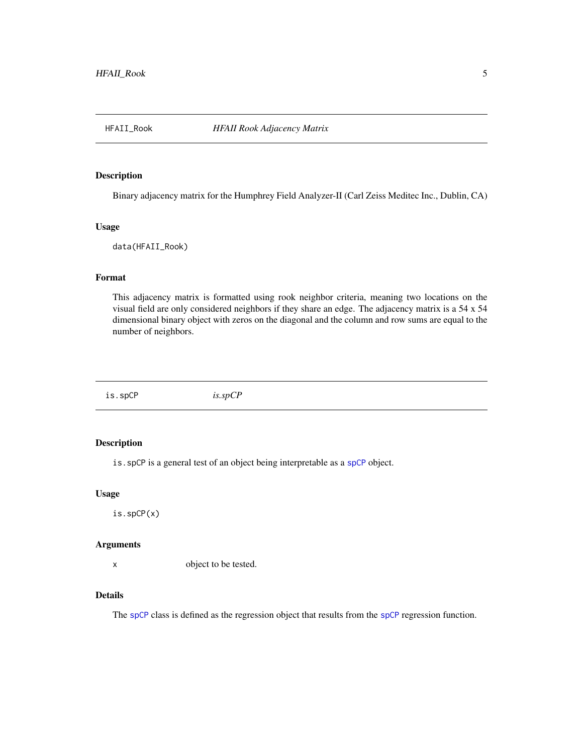<span id="page-4-0"></span>

## Description

Binary adjacency matrix for the Humphrey Field Analyzer-II (Carl Zeiss Meditec Inc., Dublin, CA)

#### Usage

data(HFAII\_Rook)

# Format

This adjacency matrix is formatted using rook neighbor criteria, meaning two locations on the visual field are only considered neighbors if they share an edge. The adjacency matrix is a 54 x 54 dimensional binary object with zeros on the diagonal and the column and row sums are equal to the number of neighbors.

is.spCP *is.spCP*

# Description

is.spCP is a general test of an object being interpretable as a [spCP](#page-7-1) object.

#### Usage

is.spCP(x)

# Arguments

x object to be tested.

#### Details

The [spCP](#page-7-1) class is defined as the regression object that results from the spCP regression function.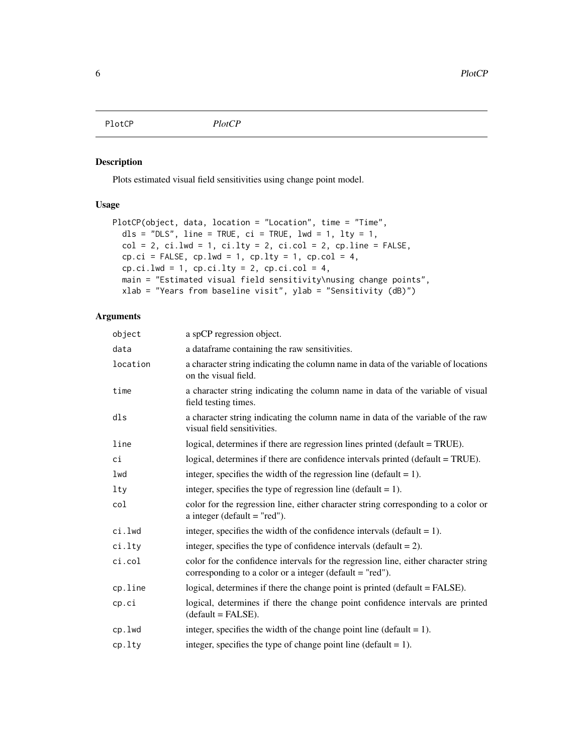<span id="page-5-0"></span>PlotCP *PlotCP*

# Description

Plots estimated visual field sensitivities using change point model.

# Usage

```
PlotCP(object, data, location = "Location", time = "Time",
 dls = "DLS", line = TRUE, ci = TRUE, lwd = 1, lty = 1,col = 2, ci.lwd = 1, ci.lty = 2, ci,col = 2, cp.line = FALSE,
 cp.ci = FALSE, cp.lwd = 1, cp.lty = 1, cp.col = 4,cp.ci.lwd = 1, cp.ci.lty = 2, cp.ci.col = 4,
 main = "Estimated visual field sensitivity\nusing change points",
 xlab = "Years from baseline visit", ylab = "Sensitivity (dB)")
```
# Arguments

| object   | a spCP regression object.                                                                                                                       |
|----------|-------------------------------------------------------------------------------------------------------------------------------------------------|
| data     | a dataframe containing the raw sensitivities.                                                                                                   |
| location | a character string indicating the column name in data of the variable of locations<br>on the visual field.                                      |
| time     | a character string indicating the column name in data of the variable of visual<br>field testing times.                                         |
| dls      | a character string indicating the column name in data of the variable of the raw<br>visual field sensitivities.                                 |
| line     | logical, determines if there are regression lines printed (default = TRUE).                                                                     |
| сi       | logical, determines if there are confidence intervals printed (default = TRUE).                                                                 |
| lwd      | integer, specifies the width of the regression line (default $= 1$ ).                                                                           |
| lty      | integer, specifies the type of regression line (default $= 1$ ).                                                                                |
| col      | color for the regression line, either character string corresponding to a color or<br>a integer (default $=$ "red").                            |
| ci.lwd   | integer, specifies the width of the confidence intervals (default $= 1$ ).                                                                      |
| ci.lty   | integer, specifies the type of confidence intervals (default $= 2$ ).                                                                           |
| ci.col   | color for the confidence intervals for the regression line, either character string<br>corresponding to a color or a integer (default = "red"). |
| cp.line  | logical, determines if there the change point is printed (default = FALSE).                                                                     |
| cp.ci    | logical, determines if there the change point confidence intervals are printed<br>$(detault = FALSE).$                                          |
| cp.lwd   | integer, specifies the width of the change point line (default $= 1$ ).                                                                         |
| cp.lty   | integer, specifies the type of change point line (default $= 1$ ).                                                                              |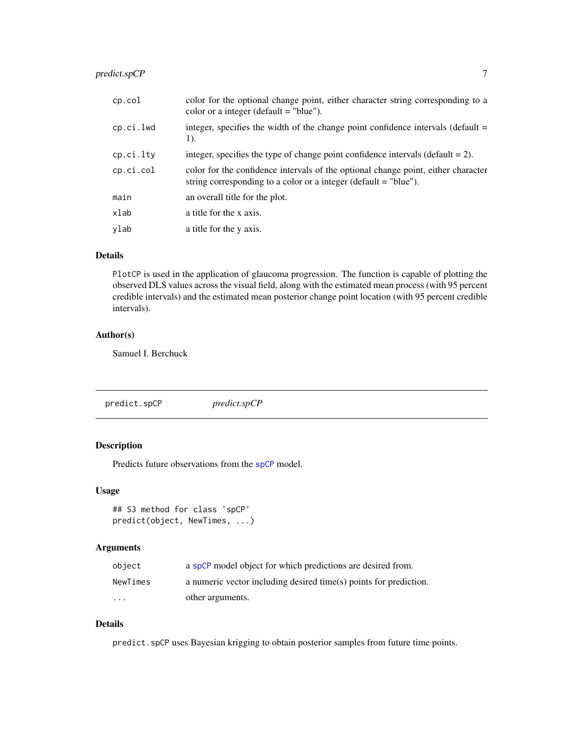# <span id="page-6-0"></span>predict.spCP 7

| integer, specifies the width of the change point confidence intervals (default =   |
|------------------------------------------------------------------------------------|
| integer, specifies the type of change point confidence intervals (default $= 2$ ). |
| color for the confidence intervals of the optional change point, either character  |
|                                                                                    |
|                                                                                    |
|                                                                                    |
|                                                                                    |

# Details

PlotCP is used in the application of glaucoma progression. The function is capable of plotting the observed DLS values across the visual field, along with the estimated mean process (with 95 percent credible intervals) and the estimated mean posterior change point location (with 95 percent credible intervals).

# Author(s)

Samuel I. Berchuck

predict.spCP *predict.spCP*

# Description

Predicts future observations from the [spCP](#page-7-1) model.

# Usage

```
## S3 method for class 'spCP'
predict(object, NewTimes, ...)
```
## Arguments

| object   | a spCP model object for which predictions are desired from.       |
|----------|-------------------------------------------------------------------|
| NewTimes | a numeric vector including desired time(s) points for prediction. |
| $\cdots$ | other arguments.                                                  |

# Details

predict.spCP uses Bayesian krigging to obtain posterior samples from future time points.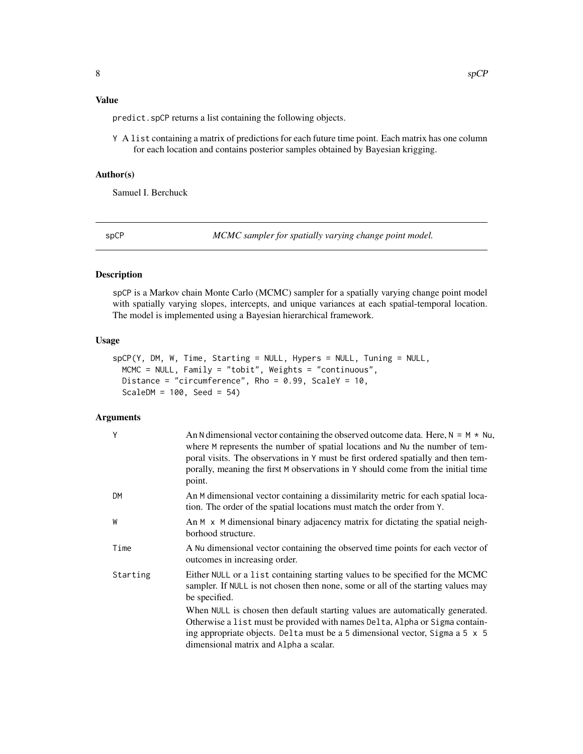<span id="page-7-0"></span>predict.spCP returns a list containing the following objects.

Y A list containing a matrix of predictions for each future time point. Each matrix has one column for each location and contains posterior samples obtained by Bayesian krigging.

#### Author(s)

Samuel I. Berchuck

<span id="page-7-1"></span>spCP *MCMC sampler for spatially varying change point model.*

# Description

spCP is a Markov chain Monte Carlo (MCMC) sampler for a spatially varying change point model with spatially varying slopes, intercepts, and unique variances at each spatial-temporal location. The model is implemented using a Bayesian hierarchical framework.

# Usage

```
spCP(Y, DM, W, Time, Starting = NULL, Hypers = NULL, Tuning = NULL,
 MCMC = NULL, Family = "tobit", Weights = "continuous",
 Distance = "circumference", Rho = 0.99, ScaleY = 10,
 ScaleDM = 100, Seed = 54)
```
## Arguments

| Y         | An N dimensional vector containing the observed outcome data. Here, $N = M \times Nu$ ,<br>where M represents the number of spatial locations and Nu the number of tem-<br>poral visits. The observations in Y must be first ordered spatially and then tem-<br>porally, meaning the first M observations in Y should come from the initial time<br>point. |
|-----------|------------------------------------------------------------------------------------------------------------------------------------------------------------------------------------------------------------------------------------------------------------------------------------------------------------------------------------------------------------|
| <b>DM</b> | An M dimensional vector containing a dissimilarity metric for each spatial loca-<br>tion. The order of the spatial locations must match the order from Y.                                                                                                                                                                                                  |
| W         | An M x M dimensional binary adjacency matrix for dictating the spatial neigh-<br>borhood structure.                                                                                                                                                                                                                                                        |
| Time      | A Nu dimensional vector containing the observed time points for each vector of<br>outcomes in increasing order.                                                                                                                                                                                                                                            |
| Starting  | Either NULL or a list containing starting values to be specified for the MCMC<br>sampler. If NULL is not chosen then none, some or all of the starting values may<br>be specified.                                                                                                                                                                         |
|           | When NULL is chosen then default starting values are automatically generated.<br>Otherwise a list must be provided with names Delta, Alpha or Sigma contain-<br>ing appropriate objects. Delta must be a 5 dimensional vector, Sigma a 5 x 5<br>dimensional matrix and Alpha a scalar.                                                                     |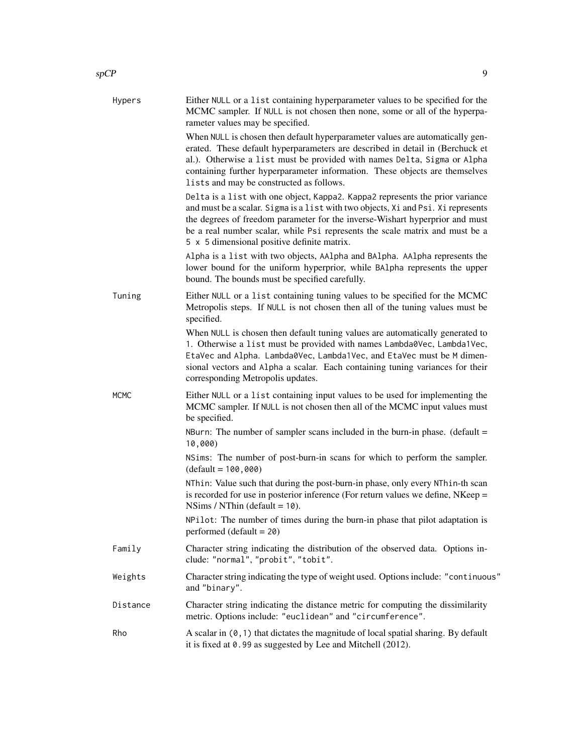| Hypers      | Either NULL or a list containing hyperparameter values to be specified for the<br>MCMC sampler. If NULL is not chosen then none, some or all of the hyperpa-<br>rameter values may be specified.                                                                                                                                                                                  |
|-------------|-----------------------------------------------------------------------------------------------------------------------------------------------------------------------------------------------------------------------------------------------------------------------------------------------------------------------------------------------------------------------------------|
|             | When NULL is chosen then default hyperparameter values are automatically gen-<br>erated. These default hyperparameters are described in detail in (Berchuck et<br>al.). Otherwise a list must be provided with names Delta, Sigma or Alpha<br>containing further hyperparameter information. These objects are themselves<br>lists and may be constructed as follows.             |
|             | Delta is a list with one object, Kappa2. Kappa2 represents the prior variance<br>and must be a scalar. Sigma is a list with two objects, Xi and Psi. Xi represents<br>the degrees of freedom parameter for the inverse-Wishart hyperprior and must<br>be a real number scalar, while Psi represents the scale matrix and must be a<br>5 x 5 dimensional positive definite matrix. |
|             | Alpha is a list with two objects, AAlpha and BAlpha. AAlpha represents the<br>lower bound for the uniform hyperprior, while BA1pha represents the upper<br>bound. The bounds must be specified carefully.                                                                                                                                                                         |
| Tuning      | Either NULL or a list containing tuning values to be specified for the MCMC<br>Metropolis steps. If NULL is not chosen then all of the tuning values must be<br>specified.                                                                                                                                                                                                        |
|             | When NULL is chosen then default tuning values are automatically generated to<br>1. Otherwise a list must be provided with names Lambda0Vec, Lambda1Vec,<br>EtaVec and Alpha. Lambda0Vec, Lambda1Vec, and EtaVec must be M dimen-<br>sional vectors and Alpha a scalar. Each containing tuning variances for their<br>corresponding Metropolis updates.                           |
| <b>MCMC</b> | Either NULL or a list containing input values to be used for implementing the<br>MCMC sampler. If NULL is not chosen then all of the MCMC input values must<br>be specified.                                                                                                                                                                                                      |
|             | NBurn: The number of sampler scans included in the burn-in phase. (default $=$<br>10,000)                                                                                                                                                                                                                                                                                         |
|             | NSims: The number of post-burn-in scans for which to perform the sampler.<br>$(default = 100,000)$                                                                                                                                                                                                                                                                                |
|             | NThin: Value such that during the post-burn-in phase, only every NThin-th scan<br>is recorded for use in posterior inference (For return values we define, NKeep =<br>NSims / NThin (default = $10$ ).                                                                                                                                                                            |
|             | NPilot: The number of times during the burn-in phase that pilot adaptation is<br>performed $(default = 20)$                                                                                                                                                                                                                                                                       |
| Family      | Character string indicating the distribution of the observed data. Options in-<br>clude: "normal", "probit", "tobit".                                                                                                                                                                                                                                                             |
| Weights     | Character string indicating the type of weight used. Options include: "continuous"<br>and "binary".                                                                                                                                                                                                                                                                               |
| Distance    | Character string indicating the distance metric for computing the dissimilarity<br>metric. Options include: "euclidean" and "circumference".                                                                                                                                                                                                                                      |
| Rho         | A scalar in $(0, 1)$ that dictates the magnitude of local spatial sharing. By default<br>it is fixed at 0.99 as suggested by Lee and Mitchell (2012).                                                                                                                                                                                                                             |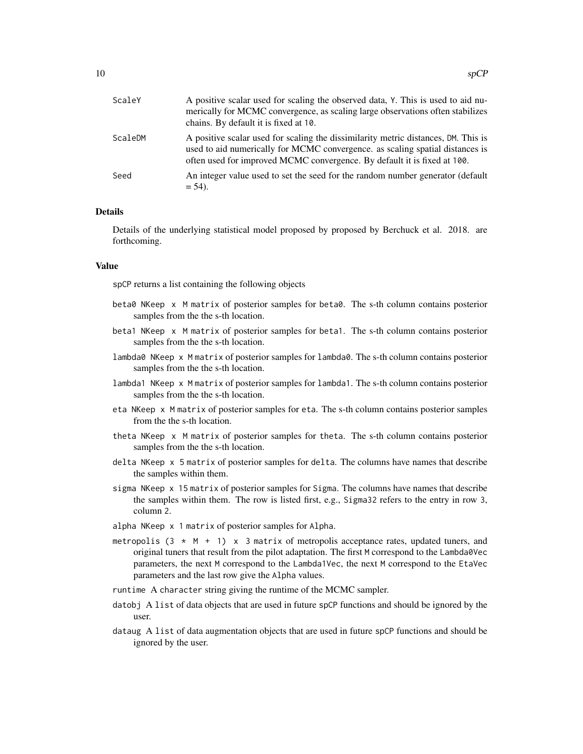| ScaleY  | A positive scalar used for scaling the observed data, Y. This is used to aid nu-<br>merically for MCMC convergence, as scaling large observations often stabilizes<br>chains. By default it is fixed at 10.                                     |
|---------|-------------------------------------------------------------------------------------------------------------------------------------------------------------------------------------------------------------------------------------------------|
| ScaleDM | A positive scalar used for scaling the dissimilarity metric distances, DM. This is<br>used to aid numerically for MCMC convergence, as scaling spatial distances is<br>often used for improved MCMC convergence. By default it is fixed at 100. |
| Seed    | An integer value used to set the seed for the random number generator (default<br>$= 54$ ).                                                                                                                                                     |

# **Details**

Details of the underlying statistical model proposed by proposed by Berchuck et al. 2018. are forthcoming.

#### Value

spCP returns a list containing the following objects

- beta0 NKeep x M matrix of posterior samples for beta0. The s-th column contains posterior samples from the the s-th location.
- beta1 NKeep x M matrix of posterior samples for beta1. The s-th column contains posterior samples from the the s-th location.
- lambda0 NKeep x M matrix of posterior samples for lambda0. The s-th column contains posterior samples from the the s-th location.
- lambda1 NKeep x M matrix of posterior samples for lambda1. The s-th column contains posterior samples from the the s-th location.
- eta NKeep x M matrix of posterior samples for eta. The s-th column contains posterior samples from the the s-th location.
- theta NKeep x M matrix of posterior samples for theta. The s-th column contains posterior samples from the the s-th location.
- delta NKeep x 5 matrix of posterior samples for delta. The columns have names that describe the samples within them.
- sigma NKeep x 15 matrix of posterior samples for Sigma. The columns have names that describe the samples within them. The row is listed first, e.g., Sigma32 refers to the entry in row 3, column 2.
- alpha NKeep x 1 matrix of posterior samples for Alpha.
- metropolis  $(3 \times M + 1) \times 3$  matrix of metropolis acceptance rates, updated tuners, and original tuners that result from the pilot adaptation. The first M correspond to the Lambda0Vec parameters, the next M correspond to the Lambda1Vec, the next M correspond to the EtaVec parameters and the last row give the Alpha values.
- runtime A character string giving the runtime of the MCMC sampler.
- datobj A list of data objects that are used in future spCP functions and should be ignored by the user.
- dataug A list of data augmentation objects that are used in future spCP functions and should be ignored by the user.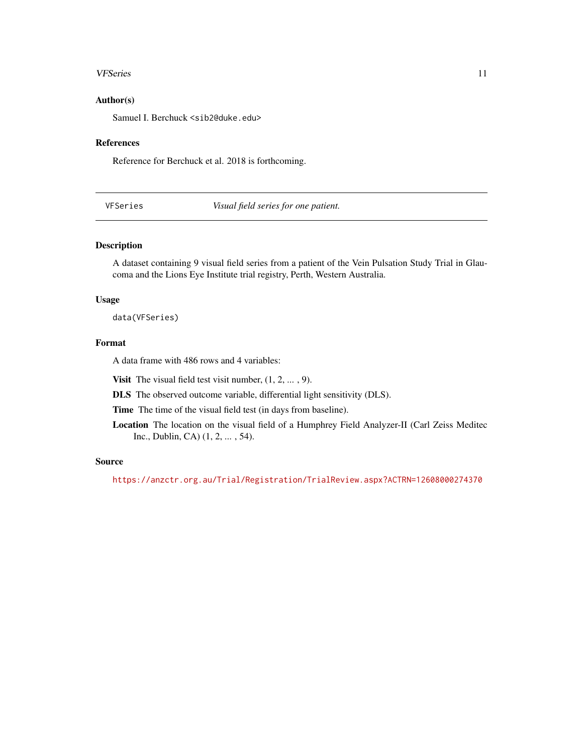#### <span id="page-10-0"></span>VFSeries 11

# Author(s)

Samuel I. Berchuck <sib2@duke.edu>

#### References

Reference for Berchuck et al. 2018 is forthcoming.

VFSeries *Visual field series for one patient.*

# Description

A dataset containing 9 visual field series from a patient of the Vein Pulsation Study Trial in Glaucoma and the Lions Eye Institute trial registry, Perth, Western Australia.

# Usage

data(VFSeries)

# Format

A data frame with 486 rows and 4 variables:

**Visit** The visual field test visit number,  $(1, 2, \ldots, 9)$ .

DLS The observed outcome variable, differential light sensitivity (DLS).

Time The time of the visual field test (in days from baseline).

Location The location on the visual field of a Humphrey Field Analyzer-II (Carl Zeiss Meditec Inc., Dublin, CA) (1, 2, ... , 54).

#### Source

<https://anzctr.org.au/Trial/Registration/TrialReview.aspx?ACTRN=12608000274370>